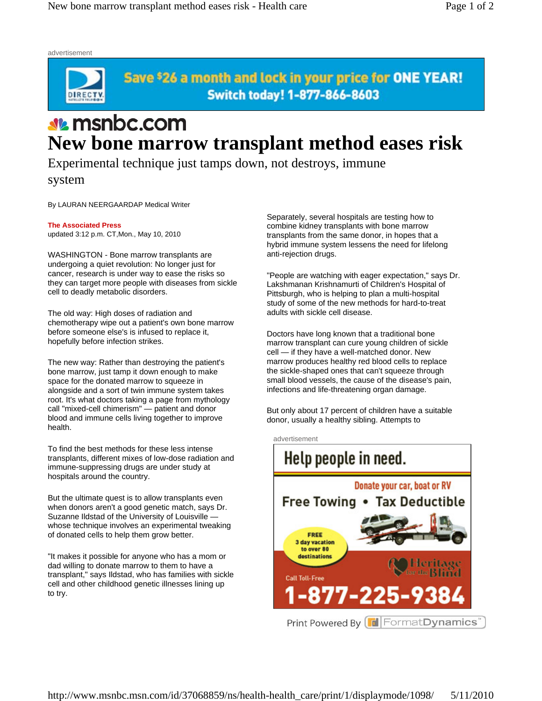advertisement



Save \$26 a month and lock in your price for ONE YEAR! Switch today! 1-877-866-8603

## **SIL msnbc.com New bone marrow transplant method eases risk**

Experimental technique just tamps down, not destroys, immune

system

By LAURAN NEERGAARDAP Medical Writer

## **The Associated Press**

updated 3:12 p.m. CT,Mon., May 10, 2010

WASHINGTON - Bone marrow transplants are undergoing a quiet revolution: No longer just for cancer, research is under way to ease the risks so they can target more people with diseases from sickle cell to deadly metabolic disorders.

The old way: High doses of radiation and chemotherapy wipe out a patient's own bone marrow before someone else's is infused to replace it, hopefully before infection strikes.

The new way: Rather than destroying the patient's bone marrow, just tamp it down enough to make space for the donated marrow to squeeze in alongside and a sort of twin immune system takes root. It's what doctors taking a page from mythology call "mixed-cell chimerism" — patient and donor blood and immune cells living together to improve health.

To find the best methods for these less intense transplants, different mixes of low-dose radiation and immune-suppressing drugs are under study at hospitals around the country.

But the ultimate quest is to allow transplants even when donors aren't a good genetic match, says Dr. Suzanne Ildstad of the University of Louisville whose technique involves an experimental tweaking of donated cells to help them grow better.

"It makes it possible for anyone who has a mom or dad willing to donate marrow to them to have a transplant," says Ildstad, who has families with sickle cell and other childhood genetic illnesses lining up to try.

Separately, several hospitals are testing how to combine kidney transplants with bone marrow transplants from the same donor, in hopes that a hybrid immune system lessens the need for lifelong anti-rejection drugs.

"People are watching with eager expectation," says Dr. Lakshmanan Krishnamurti of Children's Hospital of Pittsburgh, who is helping to plan a multi-hospital study of some of the new methods for hard-to-treat adults with sickle cell disease.

Doctors have long known that a traditional bone marrow transplant can cure young children of sickle cell — if they have a well-matched donor. New marrow produces healthy red blood cells to replace the sickle-shaped ones that can't squeeze through small blood vessels, the cause of the disease's pain, infections and life-threatening organ damage.

But only about 17 percent of children have a suitable donor, usually a healthy sibling. Attempts to

advertisement